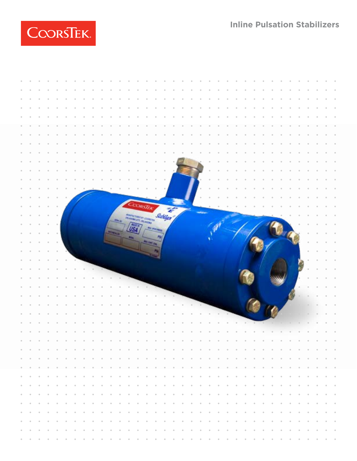